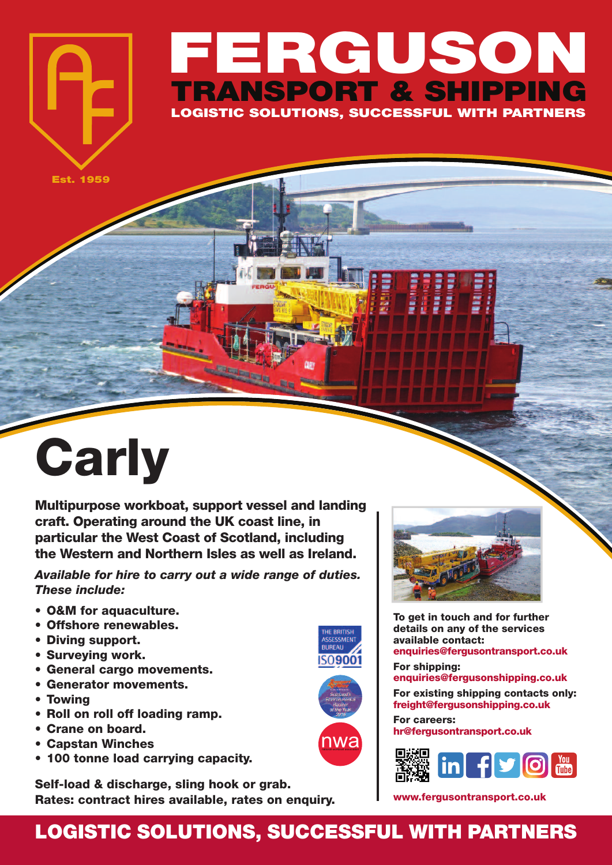## **FERGUSON TRANSPORT & SHIPPING LOGISTIC SOLUTIONS, SUCCESSFUL WITH PARTNERS**

**Est. 1959**

## **Carly**

**Multipurpose workboat, support vessel and landing craft. Operating around the UK coast line, in particular the West Coast of Scotland, including the Western and Northern Isles as well as Ireland.**

*Available for hire to carry out a wide range of duties. These include:*

- **• O&M for aquaculture.**
- **• Offshore renewables.**
- **• Diving support.**
- **• Surveying work.**
- **• General cargo movements.**
- **• Generator movements.**
- **• Towing**
- **• Roll on roll off loading ramp.**
- **• Crane on board.**
- **• Capstan Winches**
- **• 100 tonne load carrying capacity.**

**Self-load & discharge, sling hook or grab. Rates: contract hires available, rates on enquiry.**



**To get in touch and for further details on any of the services available contact: enquiries@fergusontransport.co.uk**

**For shipping: enquiries@fergusonshipping.co.uk**

**For existing shipping contacts only: freight@fergusonshipping.co.uk**

**For careers: hr@fergusontransport.co.uk**



**www.fergusontransport.co.uk**

## **LOGISTIC SOLUTIONS, SUCCESSFUL WITH PARTNERS**

**ACCECCAAEN BUREAU** 509001